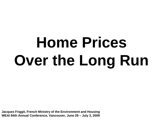# **Home Prices Over the Long Run**

**Jacques Friggit, French Ministry of the Environment and Housing WEAI 84th Annual Conference, Vancouver, June 29 – July 3, 2009**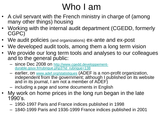### Who I am

- A civil servant with the French ministry in charge of (among many other things) housing
- Working with the internal audit department (CGEDD, formerly CGPC)
- We audit policies (and organizations) ex-ante and ex-post
- We developed audit tools, among them a long term vision
- We provide our long term tools and analyses to our colleagues and to the general public:
	- since Dec 2008 on [http://www.cgedd.developpement](http://www.cgedd.developpement-durable.gouv.fr/rubrique.php3?id_rubrique=138)[durable.gouv.fr/rubrique.php3?id\\_rubrique=138](http://www.cgedd.developpement-durable.gouv.fr/rubrique.php3?id_rubrique=138)
	- earlier, on [www.adef.org/statistiques](http://www.adef.org/statistiques) (ADEF is a non-profit organization, independent from the government; although I published on its website and in its journal, I am not a member of ADEF)
	- including a page and some documents in English
- My work on home prices in the long run began in the late  $1990's.$ 
	- 1950-1997 Paris and France indices published in 1998
	- 1840-1999 Paris and 1936-1999 France indices published in 2001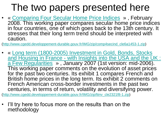### The two papers presented here

• « [Comparing Four Secular Home Price Indices](http://www.cgedd.developpement-durable.gouv.fr/IMG/zip/comp4secind_cle6a1453-1.zip) » , February 2008. This working paper compares secular home price indices in four countries, one of which goes back to the 13th century. It stresses that their long term trend should be interpreted with caution.

[\(http://www.cgedd.developpement-durable.gouv.fr/IMG/zip/comp4secind\\_cle6a1453-1.zip](http://www.cgedd.developpement-durable.gouv.fr/IMG/zip/comp4secind_cle6a1453-1.zip))

- « [Long term \(1800-2005\) Investment in Gold, Bonds, Stocks](http://www.cgedd.developpement-durable.gouv.fr/IMG/zip/ltinv_cle2321f8-1.zip)  [and Housing in France -](http://www.cgedd.developpement-durable.gouv.fr/IMG/zip/ltinv_cle2321f8-1.zip) [with Insights into the USA and the UK](http://www.cgedd.developpement-durable.gouv.fr/IMG/zip/ltinv_cle2321f8-1.zip) : [a Few Regularities](http://www.cgedd.developpement-durable.gouv.fr/IMG/zip/ltinv_cle2321f8-1.zip) » , January 2007 (1st version: mid-2006). This working paper comments on the evolution of asset prices for the past two centuries. Its exhibit 1 compares French and British home prices in the long term. Its exhibit 2 comments on French American cross-border investments in the past two centuries, in terms of return, volatility and diversifying power. [\(http://www.cgedd.developpement-durable.gouv.fr/IMG/zip/ltinv\\_cle2321f8-1.zip\)](http://www.cgedd.developpement-durable.gouv.fr/IMG/zip/ltinv_cle2321f8-1.zip)
- I'll try here to focus more on the results than on the methodology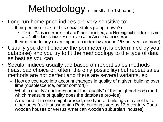### Methodology (=mostly the 1st paper)

- Long run home price indices are very sensitive to:
	- their perimeter (ex: did its social status go up, down?)
		- = > a « Paris index » is not a « France » index, a « Herengracht index » is not a « Netherlands index » nor even an « Amsterdam index »
	- their methodology (may impact an index by around 1% per year or more)
- Usually you don't choose the perimeter (it is determined by your database) and you try to fit the methodology to the type of data as best as you can
- Secular indices usually are based on repeat sales methods (least bad choice or, often, the only possibility) but repeat sales methods are not perfect and there are several variants, ex:
	- How do you take into account changes in quality of a given building over time (obsolescence, better comfort)?
	- What is quality? (includes or not the "quality" of the neighborhood) (and which measure of quality does the database provide)
	- A method fit to one neighborhood, one type of buildings may not be to other ones (ex: Haussmanian Paris buildings versus 13th century Paris wooden houses or versus American wooden suburbian houses)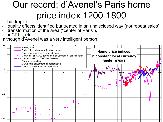#### Our record: d'Avenel's Paris home price index 1200-1800

but fragile:

- quality effects identified but treated in an undisclosed way (not repeat sales),
- transformation of the area ("center of Paris"),

- « CPI », etc. although d'Avenel was a very intelligent person

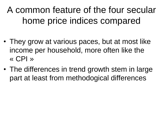A common feature of the four secular home price indices compared

- They grow at various paces, but at most like income per household, more often like the « CPI »
- The differences in trend growth stem in large part at least from methodogical differences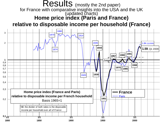#### Results (mostly the 2nd paper) for France with comparative insights into the USA and the UK (updated charts) **Home price index (Paris and France)**

#### **relative to disposable income per household (France)**

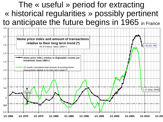#### The « useful » period for extracting « historical regularities » possibly pertinent to anticipate the future begins in 1965 in France

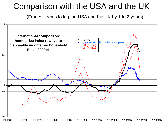#### Comparison with the USA and the UK

(France seems to lag the USA and the UK by 1 to 2 years)

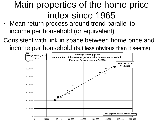#### Main properties of the home price index since 1965

- Mean return process around trend parallel to income per household (or equivalent)
- Consistent with link in space between home price and income per household (but less obvious than it seems)

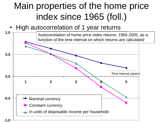#### Main properties of the home price index since 1965 (foll.)

#### • High autocorrelation of 1 year returns

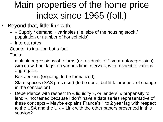#### Main properties of the home price index since 1965 (foll.)

- Beyond that, little link with:
	- « Supply / demand » variables (i.e. size of the housing stock / population or number of households)
	- Interest rates

Counter to intuition but a fact

Tools:

- multiple regressions of returns (or residuals of 1-year autoregression), with ou without lags, on various time intervals, with respect to various aggregates
- Box-Jenkins (ongoing, to be formalized)
- State spaces (SAS proc ucm) (to be done, but little prospect of change in the conclusion)
- Dependence with respect to « liquidity », or lenders' « propensity to lend », not tested because I don't have a data series representative of these concepts – Maybe explains France's 1 to 2 year lag with respect to the USA and the UK – Link with the other papers presented in this session?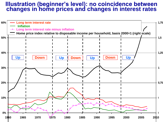#### **Illustration (beginner's level): no coincidence between changes in home prices and changes in interest rates**

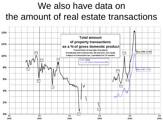#### We also have data on the amount of real estate transactions

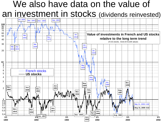#### We also have data on the value of an investment in stocks (dividends reinvested)

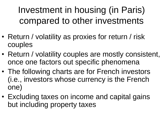### Investment in housing (in Paris) compared to other investments

- Return / volatility as proxies for return / risk couples
- Return / volatility couples are mostly consistent, once one factors out specific phenomena
- The following charts are for French investors (i.e., investors whose currency is the French one)
- Excluding taxes on income and capital gains but including property taxes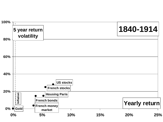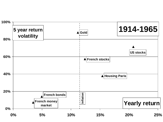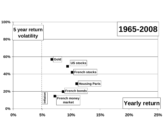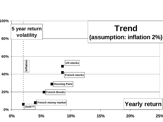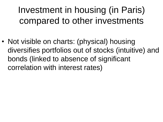#### Investment in housing (in Paris) compared to other investments

• Not visible on charts: (physical) housing diversifies portfolios out of stocks (intuitive) and bonds (linked to absence of significant correlation with interest rates)